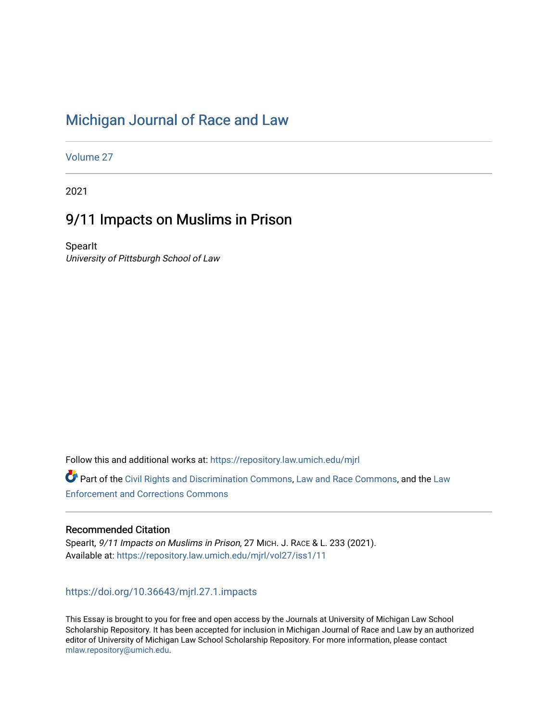# [Michigan Journal of Race and Law](https://repository.law.umich.edu/mjrl)

[Volume 27](https://repository.law.umich.edu/mjrl/vol27)

2021

# 9/11 Impacts on Muslims in Prison

**SpearIt** University of Pittsburgh School of Law

Follow this and additional works at: [https://repository.law.umich.edu/mjrl](https://repository.law.umich.edu/mjrl?utm_source=repository.law.umich.edu%2Fmjrl%2Fvol27%2Fiss1%2F11&utm_medium=PDF&utm_campaign=PDFCoverPages) 

Part of the [Civil Rights and Discrimination Commons,](https://network.bepress.com/hgg/discipline/585?utm_source=repository.law.umich.edu%2Fmjrl%2Fvol27%2Fiss1%2F11&utm_medium=PDF&utm_campaign=PDFCoverPages) [Law and Race Commons,](https://network.bepress.com/hgg/discipline/1300?utm_source=repository.law.umich.edu%2Fmjrl%2Fvol27%2Fiss1%2F11&utm_medium=PDF&utm_campaign=PDFCoverPages) and the [Law](https://network.bepress.com/hgg/discipline/854?utm_source=repository.law.umich.edu%2Fmjrl%2Fvol27%2Fiss1%2F11&utm_medium=PDF&utm_campaign=PDFCoverPages) [Enforcement and Corrections Commons](https://network.bepress.com/hgg/discipline/854?utm_source=repository.law.umich.edu%2Fmjrl%2Fvol27%2Fiss1%2F11&utm_medium=PDF&utm_campaign=PDFCoverPages) 

## Recommended Citation

SpearIt, 9/11 Impacts on Muslims in Prison, 27 MICH. J. RACE & L. 233 (2021). Available at: [https://repository.law.umich.edu/mjrl/vol27/iss1/11](https://repository.law.umich.edu/mjrl/vol27/iss1/11?utm_source=repository.law.umich.edu%2Fmjrl%2Fvol27%2Fiss1%2F11&utm_medium=PDF&utm_campaign=PDFCoverPages)

<https://doi.org/10.36643/mjrl.27.1.impacts>

This Essay is brought to you for free and open access by the Journals at University of Michigan Law School Scholarship Repository. It has been accepted for inclusion in Michigan Journal of Race and Law by an authorized editor of University of Michigan Law School Scholarship Repository. For more information, please contact [mlaw.repository@umich.edu.](mailto:mlaw.repository@umich.edu)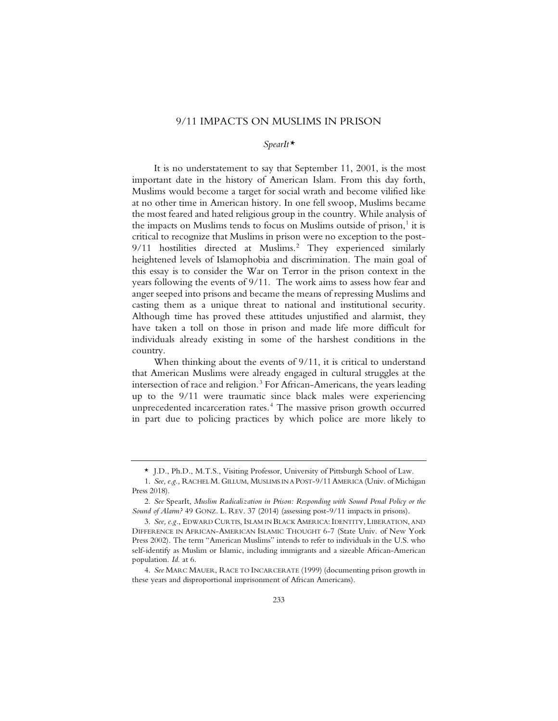## 9/11 IMPACTS ON MUSLIMS IN PRISON

### *SpearIt\**

It is no understatement to say that September 11, 2001, is the most important date in the history of American Islam. From this day forth, Muslims would become a target for social wrath and become vilified like at no other time in American history. In one fell swoop, Muslims became the most feared and hated religious group in the country. While analysis of the impacts on Muslims tends to focus on Muslims outside of prison, $<sup>1</sup>$  it is</sup> critical to recognize that Muslims in prison were no exception to the post-9/11 hostilities directed at Muslims.<sup>2</sup> They experienced similarly heightened levels of Islamophobia and discrimination. The main goal of this essay is to consider the War on Terror in the prison context in the years following the events of 9/11. The work aims to assess how fear and anger seeped into prisons and became the means of repressing Muslims and casting them as a unique threat to national and institutional security. Although time has proved these attitudes unjustified and alarmist, they have taken a toll on those in prison and made life more difficult for individuals already existing in some of the harshest conditions in the country.

When thinking about the events of 9/11, it is critical to understand that American Muslims were already engaged in cultural struggles at the intersection of race and religion.<sup>3</sup> For African-Americans, the years leading up to the 9/11 were traumatic since black males were experiencing unprecedented incarceration rates.<sup>4</sup> The massive prison growth occurred in part due to policing practices by which police are more likely to

<sup>\*</sup> J.D., Ph.D., M.T.S., Visiting Professor, University of Pittsburgh School of Law.

<sup>1.</sup> *See, e.g.,* RACHEL M. GILLUM, MUSLIMS IN A POST-9/11 AMERICA (Univ. of Michigan Press 2018).

<sup>2.</sup> *See* SpearIt, *Muslim Radicalization in Prison: Responding with Sound Penal Policy or the Sound of Alarm?* 49 GONZ. L. REV. 37 (2014) (assessing post-9/11 impacts in prisons).

<sup>3.</sup> *See, e.g.*, EDWARD CURTIS, ISLAM IN BLACK AMERICA: IDENTITY, LIBERATION, AND DIFFERENCE IN AFRICAN-AMERICAN ISLAMIC THOUGHT 6-7 (State Univ. of New York Press 2002). The term "American Muslims" intends to refer to individuals in the U.S. who self-identify as Muslim or Islamic, including immigrants and a sizeable African-American population. *Id*. at 6.

<sup>4.</sup> *See* MARC MAUER, RACE TO INCARCERATE (1999) (documenting prison growth in these years and disproportional imprisonment of African Americans).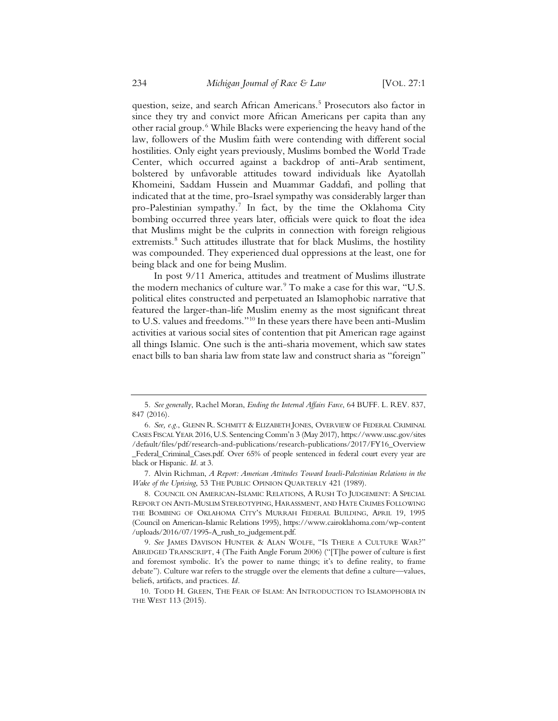question, seize, and search African Americans.<sup>5</sup> Prosecutors also factor in since they try and convict more African Americans per capita than any other racial group.6 While Blacks were experiencing the heavy hand of the law, followers of the Muslim faith were contending with different social hostilities. Only eight years previously, Muslims bombed the World Trade Center, which occurred against a backdrop of anti-Arab sentiment, bolstered by unfavorable attitudes toward individuals like Ayatollah Khomeini, Saddam Hussein and Muammar Gaddafi, and polling that indicated that at the time, pro-Israel sympathy was considerably larger than pro-Palestinian sympathy.<sup>7</sup> In fact, by the time the Oklahoma City bombing occurred three years later, officials were quick to float the idea that Muslims might be the culprits in connection with foreign religious extremists.<sup>8</sup> Such attitudes illustrate that for black Muslims, the hostility was compounded. They experienced dual oppressions at the least, one for being black and one for being Muslim.

In post 9/11 America, attitudes and treatment of Muslims illustrate the modern mechanics of culture war. $9$  To make a case for this war, "U.S. political elites constructed and perpetuated an Islamophobic narrative that featured the larger-than-life Muslim enemy as the most significant threat to U.S. values and freedoms."10 In these years there have been anti-Muslim activities at various social sites of contention that pit American rage against all things Islamic. One such is the anti-sharia movement, which saw states enact bills to ban sharia law from state law and construct sharia as "foreign"

7. Alvin Richman, *A Report: American Attitudes Toward Israeli-Palestinian Relations in the Wake of the Uprising*, 53 THE PUBLIC OPINION QUARTERLY 421 (1989).

<sup>5.</sup> *See generally*, Rachel Moran, *Ending the Internal Affairs Farce*, 64 BUFF. L. REV. 837, 847 (2016).

<sup>6.</sup> *See, e.g.*, GLENN R. SCHMITT & ELIZABETH JONES, OVERVIEW OF FEDERAL CRIMINAL CASES FISCAL YEAR 2016,U.S. Sentencing Comm'n 3 (May 2017), https://www.ussc.gov/sites /default/files/pdf/research-and-publications/research-publications/2017/FY16\_Overview \_Federal\_Criminal\_Cases.pdf. Over 65% of people sentenced in federal court every year are black or Hispanic. *Id.* at 3.

<sup>8.</sup> COUNCIL ON AMERICAN-ISLAMIC RELATIONS, A RUSH TO JUDGEMENT: A SPECIAL REPORT ON ANTI-MUSLIM STEREOTYPING, HARASSMENT, AND HATE CRIMES FOLLOWING THE BOMBING OF OKLAHOMA CITY'S MURRAH FEDERAL BUILDING, APRIL 19, 1995 (Council on American-Islamic Relations 1995), https://www.cairoklahoma.com/wp-content /uploads/2016/07/1995-A\_rush\_to\_judgement.pdf.

<sup>9.</sup> *See* JAMES DAVISON HUNTER & ALAN WOLFE, "IS THERE A CULTURE WAR?" ABRIDGED TRANSCRIPT, 4 (The Faith Angle Forum 2006) ("[T]he power of culture is first and foremost symbolic. It's the power to name things; it's to define reality, to frame debate"). Culture war refers to the struggle over the elements that define a culture—values, beliefs, artifacts, and practices. *Id*.

<sup>10.</sup> TODD H. GREEN, THE FEAR OF ISLAM: AN INTRODUCTION TO ISLAMOPHOBIA IN THE WEST 113 (2015).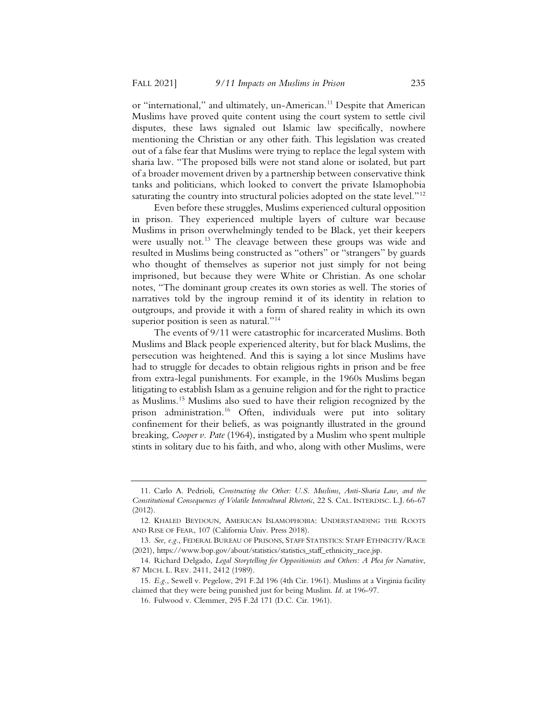or "international," and ultimately, un-American.<sup>11</sup> Despite that American Muslims have proved quite content using the court system to settle civil disputes, these laws signaled out Islamic law specifically, nowhere mentioning the Christian or any other faith. This legislation was created out of a false fear that Muslims were trying to replace the legal system with sharia law. "The proposed bills were not stand alone or isolated, but part of a broader movement driven by a partnership between conservative think tanks and politicians, which looked to convert the private Islamophobia saturating the country into structural policies adopted on the state level."<sup>12</sup>

Even before these struggles, Muslims experienced cultural opposition in prison. They experienced multiple layers of culture war because Muslims in prison overwhelmingly tended to be Black, yet their keepers were usually not.<sup>13</sup> The cleavage between these groups was wide and resulted in Muslims being constructed as "others" or "strangers" by guards who thought of themselves as superior not just simply for not being imprisoned, but because they were White or Christian. As one scholar notes, "The dominant group creates its own stories as well. The stories of narratives told by the ingroup remind it of its identity in relation to outgroups, and provide it with a form of shared reality in which its own superior position is seen as natural."<sup>14</sup>

The events of 9/11 were catastrophic for incarcerated Muslims. Both Muslims and Black people experienced alterity, but for black Muslims, the persecution was heightened. And this is saying a lot since Muslims have had to struggle for decades to obtain religious rights in prison and be free from extra-legal punishments. For example, in the 1960s Muslims began litigating to establish Islam as a genuine religion and for the right to practice as Muslims.15 Muslims also sued to have their religion recognized by the prison administration.16 Often, individuals were put into solitary confinement for their beliefs, as was poignantly illustrated in the ground breaking, *Cooper v. Pate* (1964), instigated by a Muslim who spent multiple stints in solitary due to his faith, and who, along with other Muslims, were

<sup>11.</sup> Carlo A. Pedrioli, *Constructing the Other: U.S. Muslims, Anti-Sharia Law, and the Constitutional Consequences of Volatile Intercultural Rhetoric*, 22 S. CAL. INTERDISC. L.J. 66-67 (2012).

<sup>12.</sup> KHALED BEYDOUN, AMERICAN ISLAMOPHOBIA: UNDERSTANDING THE ROOTS AND RISE OF FEAR, 107 (California Univ. Press 2018).

<sup>13.</sup> *See, e.g.*, FEDERAL BUREAU OF PRISONS, STAFF STATISTICS: STAFF ETHNICITY/RACE (2021), https://www.bop.gov/about/statistics/statistics\_staff\_ethnicity\_race.jsp.

<sup>14.</sup> Richard Delgado, *Legal Storytelling for Oppositionists and Others: A Plea for Narrative*, 87 MICH. L. REV. 2411, 2412 (1989).

<sup>15.</sup> *E.g.*, Sewell v. Pegelow, 291 F.2d 196 (4th Cir. 1961). Muslims at a Virginia facility claimed that they were being punished just for being Muslim. *Id*. at 196-97.

<sup>16.</sup> Fulwood v. Clemmer, 295 F.2d 171 (D.C. Cir. 1961).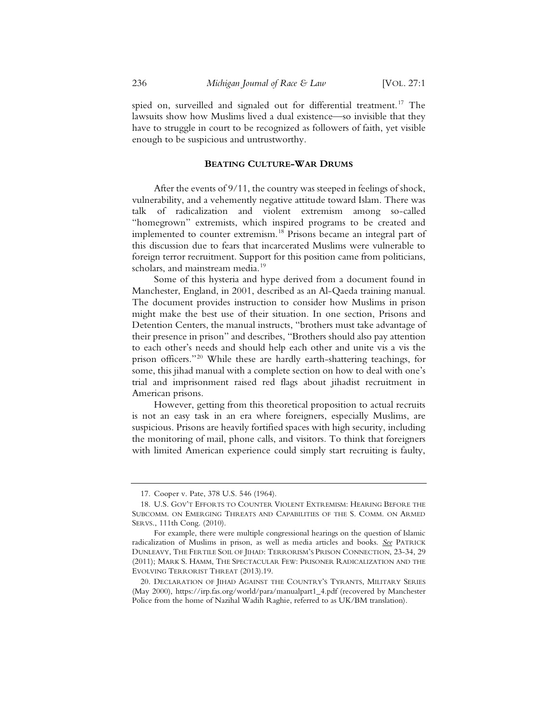spied on, surveilled and signaled out for differential treatment.<sup>17</sup> The lawsuits show how Muslims lived a dual existence—so invisible that they have to struggle in court to be recognized as followers of faith, yet visible enough to be suspicious and untrustworthy.

### **BEATING CULTURE-WAR DRUMS**

After the events of 9/11, the country was steeped in feelings of shock, vulnerability, and a vehemently negative attitude toward Islam. There was talk of radicalization and violent extremism among so-called "homegrown" extremists, which inspired programs to be created and implemented to counter extremism.<sup>18</sup> Prisons became an integral part of this discussion due to fears that incarcerated Muslims were vulnerable to foreign terror recruitment. Support for this position came from politicians, scholars, and mainstream media.<sup>19</sup>

Some of this hysteria and hype derived from a document found in Manchester, England, in 2001, described as an Al-Qaeda training manual. The document provides instruction to consider how Muslims in prison might make the best use of their situation. In one section, Prisons and Detention Centers, the manual instructs, "brothers must take advantage of their presence in prison" and describes, "Brothers should also pay attention to each other's needs and should help each other and unite vis a vis the prison officers."20 While these are hardly earth-shattering teachings, for some, this jihad manual with a complete section on how to deal with one's trial and imprisonment raised red flags about jihadist recruitment in American prisons.

However, getting from this theoretical proposition to actual recruits is not an easy task in an era where foreigners, especially Muslims, are suspicious. Prisons are heavily fortified spaces with high security, including the monitoring of mail, phone calls, and visitors. To think that foreigners with limited American experience could simply start recruiting is faulty,

<sup>17.</sup> Cooper v. Pate, 378 U.S. 546 (1964).

<sup>18.</sup> U.S. GOV'T EFFORTS TO COUNTER VIOLENT EXTREMISM: HEARING BEFORE THE SUBCOMM. ON EMERGING THREATS AND CAPABILITIES OF THE S. COMM. ON ARMED SERVS., 111th Cong. (2010).

For example, there were multiple congressional hearings on the question of Islamic radicalization of Muslims in prison, as well as media articles and books. *See* PATRICK DUNLEAVY, THE FERTILE SOIL OF JIHAD: TERRORISM'S PRISON CONNECTION, 23-34, 29 (2011); MARK S. HAMM, THE SPECTACULAR FEW: PRISONER RADICALIZATION AND THE EVOLVING TERRORIST THREAT (2013).19.

<sup>20.</sup> DECLARATION OF JIHAD AGAINST THE COUNTRY'S TYRANTS, MILITARY SERIES (May 2000), https://irp.fas.org/world/para/manualpart1\_4.pdf (recovered by Manchester Police from the home of Nazihal Wadih Raghie, referred to as UK/BM translation).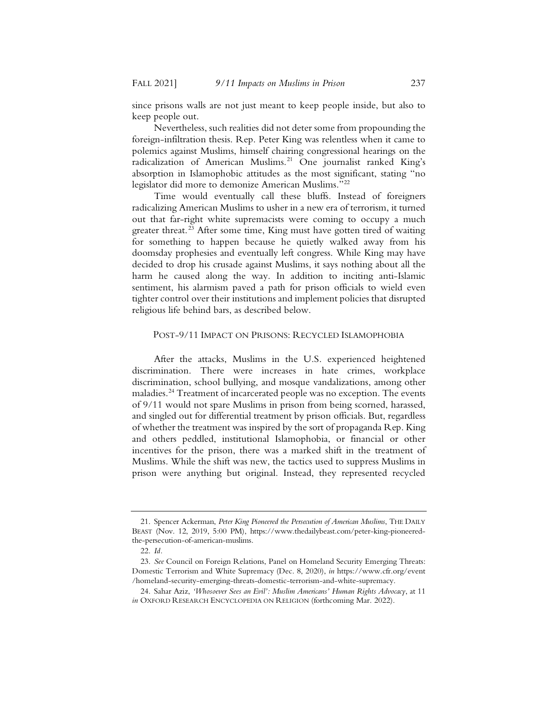since prisons walls are not just meant to keep people inside, but also to keep people out.

Nevertheless, such realities did not deter some from propounding the foreign-infiltration thesis. Rep. Peter King was relentless when it came to polemics against Muslims, himself chairing congressional hearings on the radicalization of American Muslims.<sup>21</sup> One journalist ranked King's absorption in Islamophobic attitudes as the most significant, stating "no legislator did more to demonize American Muslims."22

Time would eventually call these bluffs. Instead of foreigners radicalizing American Muslims to usher in a new era of terrorism, it turned out that far-right white supremacists were coming to occupy a much greater threat.<sup>23</sup> After some time, King must have gotten tired of waiting for something to happen because he quietly walked away from his doomsday prophesies and eventually left congress. While King may have decided to drop his crusade against Muslims, it says nothing about all the harm he caused along the way. In addition to inciting anti-Islamic sentiment, his alarmism paved a path for prison officials to wield even tighter control over their institutions and implement policies that disrupted religious life behind bars, as described below.

### POST-9/11 IMPACT ON PRISONS: RECYCLED ISLAMOPHOBIA

After the attacks, Muslims in the U.S. experienced heightened discrimination. There were increases in hate crimes, workplace discrimination, school bullying, and mosque vandalizations, among other maladies.<sup>24</sup> Treatment of incarcerated people was no exception. The events of 9/11 would not spare Muslims in prison from being scorned, harassed, and singled out for differential treatment by prison officials. But, regardless of whether the treatment was inspired by the sort of propaganda Rep. King and others peddled, institutional Islamophobia, or financial or other incentives for the prison, there was a marked shift in the treatment of Muslims. While the shift was new, the tactics used to suppress Muslims in prison were anything but original. Instead, they represented recycled

<sup>21.</sup> Spencer Ackerman, *Peter King Pioneered the Persecution of American Muslims*, THE DAILY BEAST (Nov. 12, 2019, 5:00 PM), https://www.thedailybeast.com/peter-king-pioneeredthe-persecution-of-american-muslims.

<sup>22.</sup> *Id.*

<sup>23.</sup> *See* Council on Foreign Relations, Panel on Homeland Security Emerging Threats: Domestic Terrorism and White Supremacy (Dec. 8, 2020), *in* https://www.cfr.org/event /homeland-security-emerging-threats-domestic-terrorism-and-white-supremacy.

<sup>24.</sup> Sahar Aziz, *'Whosoever Sees an Evil': Muslim Americans' Human Rights Advocacy*, at 11 *in* OXFORD RESEARCH ENCYCLOPEDIA ON RELIGION (forthcoming Mar. 2022).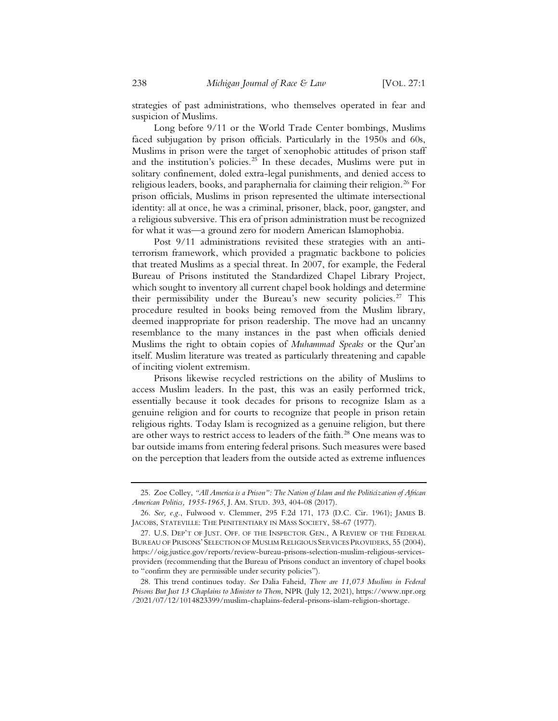strategies of past administrations, who themselves operated in fear and suspicion of Muslims.

Long before 9/11 or the World Trade Center bombings, Muslims faced subjugation by prison officials. Particularly in the 1950s and 60s, Muslims in prison were the target of xenophobic attitudes of prison staff and the institution's policies.<sup>25</sup> In these decades, Muslims were put in solitary confinement, doled extra-legal punishments, and denied access to religious leaders, books, and paraphernalia for claiming their religion.<sup>26</sup> For prison officials, Muslims in prison represented the ultimate intersectional identity: all at once, he was a criminal, prisoner, black, poor, gangster, and a religious subversive. This era of prison administration must be recognized for what it was—a ground zero for modern American Islamophobia.

Post 9/11 administrations revisited these strategies with an antiterrorism framework, which provided a pragmatic backbone to policies that treated Muslims as a special threat. In 2007, for example, the Federal Bureau of Prisons instituted the Standardized Chapel Library Project, which sought to inventory all current chapel book holdings and determine their permissibility under the Bureau's new security policies.<sup>27</sup> This procedure resulted in books being removed from the Muslim library, deemed inappropriate for prison readership. The move had an uncanny resemblance to the many instances in the past when officials denied Muslims the right to obtain copies of *Muhammad Speaks* or the Qur'an itself. Muslim literature was treated as particularly threatening and capable of inciting violent extremism.

Prisons likewise recycled restrictions on the ability of Muslims to access Muslim leaders. In the past, this was an easily performed trick, essentially because it took decades for prisons to recognize Islam as a genuine religion and for courts to recognize that people in prison retain religious rights. Today Islam is recognized as a genuine religion, but there are other ways to restrict access to leaders of the faith.<sup>28</sup> One means was to bar outside imams from entering federal prisons. Such measures were based on the perception that leaders from the outside acted as extreme influences

<sup>25.</sup> Zoe Colley, *"All America is a Prison": The Nation of Islam and the Politicization of African American Politics, 1955-1965*, J. AM. STUD. 393, 404-08 (2017).

<sup>26.</sup> *See, e.g.*, Fulwood v. Clemmer, 295 F.2d 171, 173 (D.C. Cir. 1961); JAMES B. JACOBS, STATEVILLE: THE PENITENTIARY IN MASS SOCIETY, 58-67 (1977).

<sup>27.</sup> U.S. DEP'T OF JUST. OFF. OF THE INSPECTOR GEN., A REVIEW OF THE FEDERAL BUREAU OF PRISONS' SELECTION OF MUSLIM RELIGIOUS SERVICES PROVIDERS, 55 (2004), https://oig.justice.gov/reports/review-bureau-prisons-selection-muslim-religious-servicesproviders (recommending that the Bureau of Prisons conduct an inventory of chapel books to "confirm they are permissible under security policies").

<sup>28.</sup> This trend continues today. *See* Dalia Faheid, *There are 11,073 Muslims in Federal Prisons But Just 13 Chaplains to Minister to Them*, NPR (July 12, 2021), https://www.npr.org /2021/07/12/1014823399/muslim-chaplains-federal-prisons-islam-religion-shortage.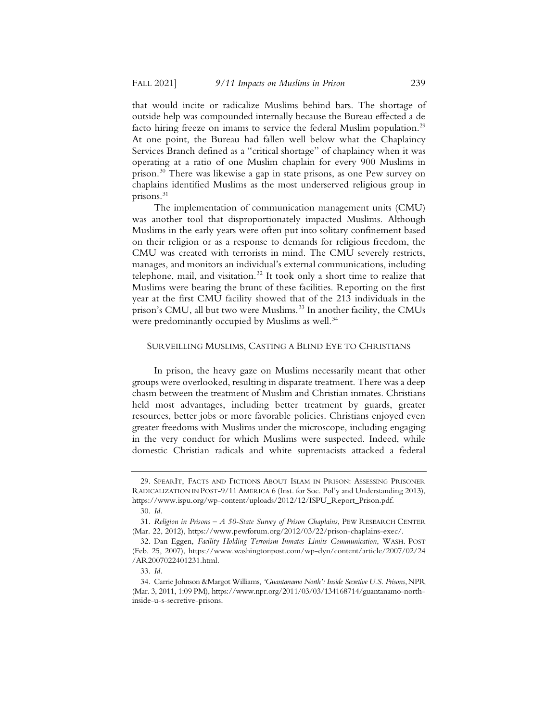that would incite or radicalize Muslims behind bars. The shortage of outside help was compounded internally because the Bureau effected a de facto hiring freeze on imams to service the federal Muslim population.<sup>29</sup> At one point, the Bureau had fallen well below what the Chaplaincy Services Branch defined as a "critical shortage" of chaplaincy when it was operating at a ratio of one Muslim chaplain for every 900 Muslims in prison.30 There was likewise a gap in state prisons, as one Pew survey on chaplains identified Muslims as the most underserved religious group in prisons.31

The implementation of communication management units (CMU) was another tool that disproportionately impacted Muslims. Although Muslims in the early years were often put into solitary confinement based on their religion or as a response to demands for religious freedom, the CMU was created with terrorists in mind. The CMU severely restricts, manages, and monitors an individual's external communications, including telephone, mail, and visitation.<sup>32</sup> It took only a short time to realize that Muslims were bearing the brunt of these facilities. Reporting on the first year at the first CMU facility showed that of the 213 individuals in the prison's CMU, all but two were Muslims.<sup>33</sup> In another facility, the CMUs were predominantly occupied by Muslims as well.<sup>34</sup>

#### SURVEILLING MUSLIMS, CASTING A BLIND EYE TO CHRISTIANS

In prison, the heavy gaze on Muslims necessarily meant that other groups were overlooked, resulting in disparate treatment. There was a deep chasm between the treatment of Muslim and Christian inmates. Christians held most advantages, including better treatment by guards, greater resources, better jobs or more favorable policies. Christians enjoyed even greater freedoms with Muslims under the microscope, including engaging in the very conduct for which Muslims were suspected. Indeed, while domestic Christian radicals and white supremacists attacked a federal

<sup>29.</sup> SPEARIT, FACTS AND FICTIONS ABOUT ISLAM IN PRISON: ASSESSING PRISONER RADICALIZATION IN POST-9/11 AMERICA 6 (Inst. for Soc. Pol'y and Understanding 2013), https://www.ispu.org/wp-content/uploads/2012/12/ISPU\_Report\_Prison.pdf.

<sup>30.</sup> *Id.*

<sup>31.</sup> *Religion in Prisons – A 50-State Survey of Prison Chaplains*, PEW RESEARCH CENTER (Mar. 22, 2012), https://www.pewforum.org/2012/03/22/prison-chaplains-exec/.

<sup>32.</sup> Dan Eggen, *Facility Holding Terrorism Inmates Limits Communication*, WASH. POST (Feb. 25, 2007), https://www.washingtonpost.com/wp-dyn/content/article/2007/02/24 /AR2007022401231.html.

<sup>33.</sup> *Id.*

<sup>34.</sup> Carrie Johnson &Margot Williams, 'Guantanamo North': Inside Secretive U.S. Prisons, NPR (Mar. 3, 2011, 1:09 PM), https://www.npr.org/2011/03/03/134168714/guantanamo-northinside-u-s-secretive-prisons.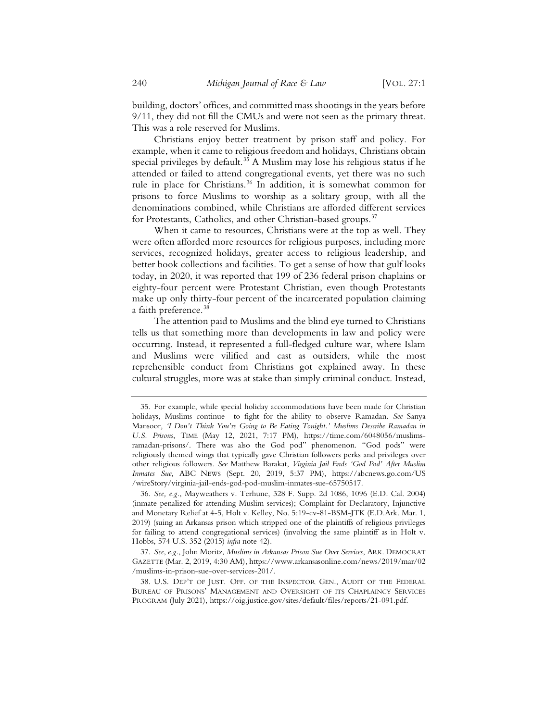building, doctors' offices, and committed mass shootings in the years before 9/11, they did not fill the CMUs and were not seen as the primary threat. This was a role reserved for Muslims.

Christians enjoy better treatment by prison staff and policy. For example, when it came to religious freedom and holidays, Christians obtain special privileges by default.<sup>35</sup> A Muslim may lose his religious status if he attended or failed to attend congregational events, yet there was no such rule in place for Christians.<sup>36</sup> In addition, it is somewhat common for prisons to force Muslims to worship as a solitary group, with all the denominations combined, while Christians are afforded different services for Protestants, Catholics, and other Christian-based groups.<sup>37</sup>

When it came to resources, Christians were at the top as well. They were often afforded more resources for religious purposes, including more services, recognized holidays, greater access to religious leadership, and better book collections and facilities. To get a sense of how that gulf looks today, in 2020, it was reported that 199 of 236 federal prison chaplains or eighty-four percent were Protestant Christian, even though Protestants make up only thirty-four percent of the incarcerated population claiming a faith preference.<sup>38</sup>

The attention paid to Muslims and the blind eye turned to Christians tells us that something more than developments in law and policy were occurring. Instead, it represented a full-fledged culture war, where Islam and Muslims were vilified and cast as outsiders, while the most reprehensible conduct from Christians got explained away. In these cultural struggles, more was at stake than simply criminal conduct. Instead,

36. *See, e.g.*, Mayweathers v. Terhune, 328 F. Supp. 2d 1086, 1096 (E.D. Cal. 2004) (inmate penalized for attending Muslim services); Complaint for Declaratory, Injunctive and Monetary Relief at 4-5, Holt v. Kelley, No. 5:19-cv-81-BSM-JTK (E.D.Ark. Mar. 1, 2019) (suing an Arkansas prison which stripped one of the plaintiffs of religious privileges for failing to attend congregational services) (involving the same plaintiff as in Holt v. Hobbs, 574 U.S. 352 (2015) *infra* note 42).

<sup>35.</sup> For example, while special holiday accommodations have been made for Christian holidays, Muslims continue to fight for the ability to observe Ramadan. *See* Sanya Mansoor*, 'I Don't Think You're Going to Be Eating Tonight.' Muslims Describe Ramadan in U.S. Prisons*, TIME (May 12, 2021, 7:17 PM), https://time.com/6048056/muslimsramadan-prisons/. There was also the God pod" phenomenon. "God pods" were religiously themed wings that typically gave Christian followers perks and privileges over other religious followers. *See* Matthew Barakat, *Virginia Jail Ends 'God Pod' After Muslim Inmates Sue*, ABC NEWS (Sept. 20, 2019, 5:37 PM), https://abcnews.go.com/US /wireStory/virginia-jail-ends-god-pod-muslim-inmates-sue-65750517.

<sup>37.</sup> *See*, *e.g.*, John Moritz, *Muslims in Arkansas Prison Sue Over Services*, ARK. DEMOCRAT GAZETTE (Mar. 2, 2019, 4:30 AM), https://www.arkansasonline.com/news/2019/mar/02 /muslims-in-prison-sue-over-services-201/.

<sup>38.</sup> U.S. DEP'T OF JUST. OFF. OF THE INSPECTOR GEN., AUDIT OF THE FEDERAL BUREAU OF PRISONS' MANAGEMENT AND OVERSIGHT OF ITS CHAPLAINCY SERVICES PROGRAM (July 2021), https://oig.justice.gov/sites/default/files/reports/21-091.pdf.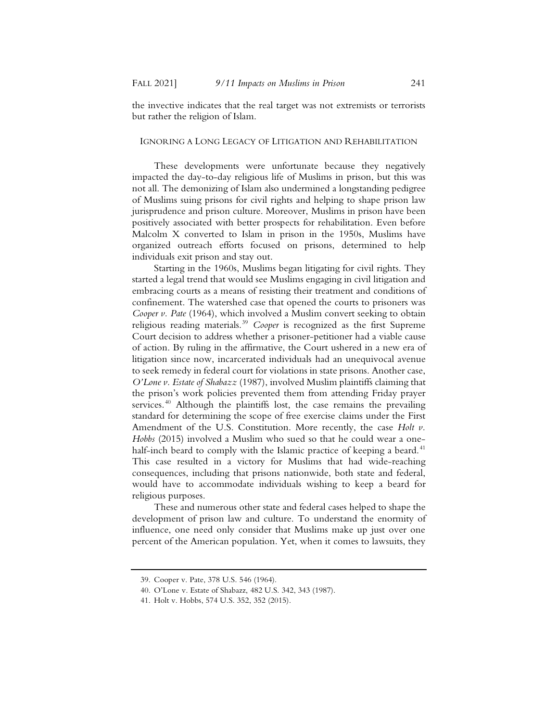the invective indicates that the real target was not extremists or terrorists but rather the religion of Islam.

#### IGNORING A LONG LEGACY OF LITIGATION AND REHABILITATION

These developments were unfortunate because they negatively impacted the day-to-day religious life of Muslims in prison, but this was not all. The demonizing of Islam also undermined a longstanding pedigree of Muslims suing prisons for civil rights and helping to shape prison law jurisprudence and prison culture. Moreover, Muslims in prison have been positively associated with better prospects for rehabilitation. Even before Malcolm X converted to Islam in prison in the 1950s, Muslims have organized outreach efforts focused on prisons, determined to help individuals exit prison and stay out.

Starting in the 1960s, Muslims began litigating for civil rights. They started a legal trend that would see Muslims engaging in civil litigation and embracing courts as a means of resisting their treatment and conditions of confinement. The watershed case that opened the courts to prisoners was *Cooper v. Pate* (1964), which involved a Muslim convert seeking to obtain religious reading materials.39 *Cooper* is recognized as the first Supreme Court decision to address whether a prisoner-petitioner had a viable cause of action. By ruling in the affirmative, the Court ushered in a new era of litigation since now, incarcerated individuals had an unequivocal avenue to seek remedy in federal court for violations in state prisons. Another case, *O'Lone v. Estate of Shabazz* (1987), involved Muslim plaintiffs claiming that the prison's work policies prevented them from attending Friday prayer services.<sup>40</sup> Although the plaintiffs lost, the case remains the prevailing standard for determining the scope of free exercise claims under the First Amendment of the U.S. Constitution. More recently, the case *Holt v. Hobbs* (2015) involved a Muslim who sued so that he could wear a onehalf-inch beard to comply with the Islamic practice of keeping a beard.<sup>41</sup> This case resulted in a victory for Muslims that had wide-reaching consequences, including that prisons nationwide, both state and federal, would have to accommodate individuals wishing to keep a beard for religious purposes.

These and numerous other state and federal cases helped to shape the development of prison law and culture. To understand the enormity of influence, one need only consider that Muslims make up just over one percent of the American population. Yet, when it comes to lawsuits, they

<sup>39.</sup> Cooper v. Pate, 378 U.S. 546 (1964).

<sup>40.</sup> O'Lone v. Estate of Shabazz, 482 U.S. 342, 343 (1987).

<sup>41.</sup> Holt v. Hobbs, 574 U.S. 352, 352 (2015).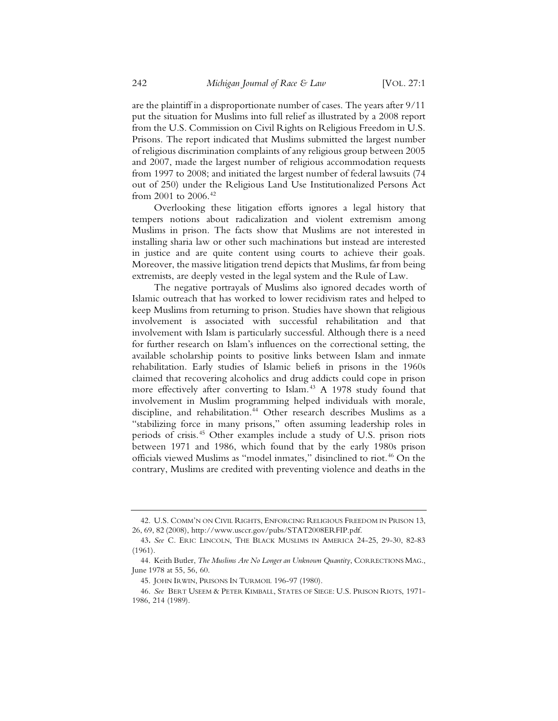are the plaintiff in a disproportionate number of cases. The years after 9/11 put the situation for Muslims into full relief as illustrated by a 2008 report from the U.S. Commission on Civil Rights on Religious Freedom in U.S. Prisons. The report indicated that Muslims submitted the largest number of religious discrimination complaints of any religious group between 2005 and 2007, made the largest number of religious accommodation requests from 1997 to 2008; and initiated the largest number of federal lawsuits (74 out of 250) under the Religious Land Use Institutionalized Persons Act from 2001 to 2006.<sup>42</sup>

Overlooking these litigation efforts ignores a legal history that tempers notions about radicalization and violent extremism among Muslims in prison. The facts show that Muslims are not interested in installing sharia law or other such machinations but instead are interested in justice and are quite content using courts to achieve their goals. Moreover, the massive litigation trend depicts that Muslims, far from being extremists, are deeply vested in the legal system and the Rule of Law.

The negative portrayals of Muslims also ignored decades worth of Islamic outreach that has worked to lower recidivism rates and helped to keep Muslims from returning to prison. Studies have shown that religious involvement is associated with successful rehabilitation and that involvement with Islam is particularly successful. Although there is a need for further research on Islam's influences on the correctional setting, the available scholarship points to positive links between Islam and inmate rehabilitation. Early studies of Islamic beliefs in prisons in the 1960s claimed that recovering alcoholics and drug addicts could cope in prison more effectively after converting to Islam.<sup>43</sup> A 1978 study found that involvement in Muslim programming helped individuals with morale, discipline, and rehabilitation.<sup>44</sup> Other research describes Muslims as a "stabilizing force in many prisons," often assuming leadership roles in periods of crisis.45 Other examples include a study of U.S. prison riots between 1971 and 1986, which found that by the early 1980s prison officials viewed Muslims as "model inmates," disinclined to riot.<sup>46</sup> On the contrary, Muslims are credited with preventing violence and deaths in the

<sup>42.</sup> U.S. COMM'N ON CIVIL RIGHTS, ENFORCING RELIGIOUS FREEDOM IN PRISON 13, 26, 69, 82 (2008), http://www.usccr.gov/pubs/STAT2008ERFIP.pdf.

<sup>43</sup>*. See* C. ERIC LINCOLN, THE BLACK MUSLIMS IN AMERICA 24-25, 29-30, 82-83 (1961).

<sup>44.</sup> Keith Butler, *The Muslims Are No Longer an Unknown Quantity*, CORRECTIONS MAG., June 1978 at 55, 56, 60.

<sup>45.</sup> JOHN IRWIN, PRISONS IN TURMOIL 196-97 (1980).

<sup>46.</sup> *See* BERT USEEM & PETER KIMBALL, STATES OF SIEGE: U.S. PRISON RIOTS, 1971- 1986, 214 (1989).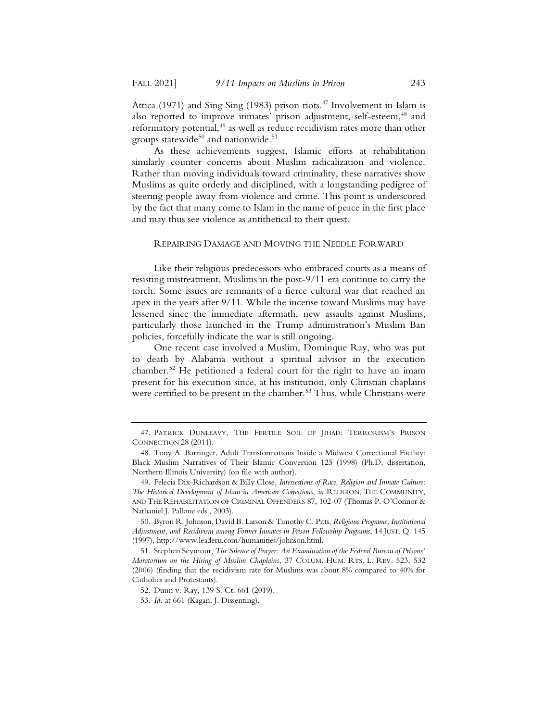Attica (1971) and Sing Sing (1983) prison riots.<sup>47</sup> Involvement in Islam is also reported to improve inmates' prison adjustment, self-esteem,<sup>48</sup> and reformatory potential,<sup>49</sup> as well as reduce recidivism rates more than other groups statewide<sup>50</sup> and nationwide.<sup>51</sup>

As these achievements suggest, Islamic efforts at rehabilitation similarly counter concerns about Muslim radicalization and violence. Rather than moving individuals toward criminality, these narratives show Muslims as quite orderly and disciplined, with a longstanding pedigree of steering people away from violence and crime. This point is underscored by the fact that many come to Islam in the name of peace in the first place and may thus see violence as antithetical to their quest.

#### REPAIRING DAMAGE AND MOVING THE NEEDLE FORWARD

Like their religious predecessors who embraced courts as a means of resisting mistreatment, Muslims in the post-9/11 era continue to carry the torch. Some issues are remnants of a fierce cultural war that reached an apex in the years after 9/11. While the incense toward Muslims may have lessened since the immediate aftermath, new assaults against Muslims, particularly those launched in the Trump administration's Muslim Ban policies, forcefully indicate the war is still ongoing.

One recent case involved a Muslim, Dominque Ray, who was put to death by Alabama without a spiritual advisor in the execution chamber.<sup>52</sup> He petitioned a federal court for the right to have an imam present for his execution since, at his institution, only Christian chaplains were certified to be present in the chamber.<sup>53</sup> Thus, while Christians were

<sup>47.</sup> PATRICK DUNLEAVY, THE FERTILE SOIL OF JIHAD: TERRORISM'S PRISON CONNECTION 28 (2011).

<sup>48.</sup> Tony A. Barringer, Adult Transformations Inside a Midwest Correctional Facility: Black Muslim Narratives of Their Islamic Conversion 125 (1998) (Ph.D. dissertation, Northern Illinois University) (on file with author).

<sup>49.</sup> Felecia Dix-Richardson & Billy Close*, Intersections of Race, Religion and Inmate Culture: The Historical Development of Islam in American Corrections*, *in* RELIGION, THE COMMUNITY, AND THE REHABILITATION OF CRIMINAL OFFENDERS 87, 102-07 (Thomas P. O'Connor & Nathaniel J. Pallone eds., 2003).

<sup>50.</sup> Byron R. Johnson, David B. Larson & Timothy C. Pitts, *Religious Programs, Institutional Adjustment, and Recidivism among Former Inmates in Prison Fellowship Programs*, 14 JUST. Q. 145 (1997), http://www.leaderu.com/humanities/johnson.html.

<sup>51.</sup> Stephen Seymour, *The Silence of Prayer: An Examination of the Federal Bureau of Prisons' Moratorium on the Hiring of Muslim Chaplains*, 37 COLUM. HUM. RTS. L. REV. 523, 532 (2006) (finding that the recidivism rate for Muslims was about 8% compared to 40% for Catholics and Protestants).

<sup>52.</sup> Dunn v. Ray, 139 S. Ct. 661 (2019).

<sup>53.</sup> *Id.* at 661 (Kagan, J. Dissenting).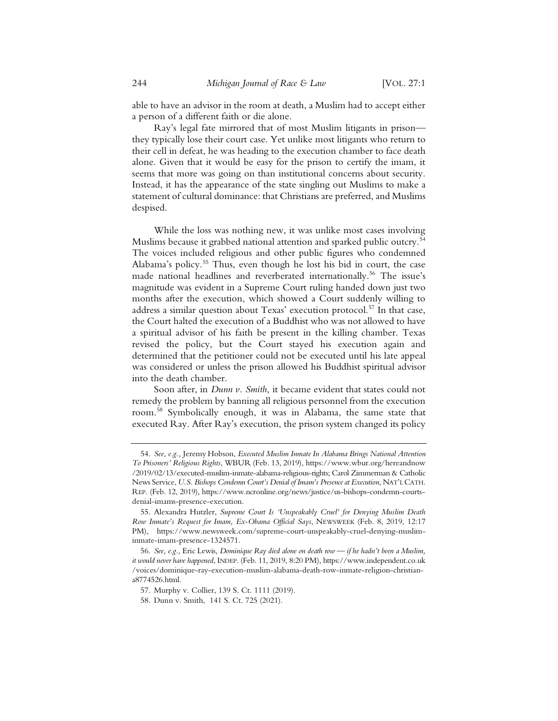able to have an advisor in the room at death, a Muslim had to accept either a person of a different faith or die alone.

Ray's legal fate mirrored that of most Muslim litigants in prison they typically lose their court case. Yet unlike most litigants who return to their cell in defeat, he was heading to the execution chamber to face death alone. Given that it would be easy for the prison to certify the imam, it seems that more was going on than institutional concerns about security. Instead, it has the appearance of the state singling out Muslims to make a statement of cultural dominance: that Christians are preferred, and Muslims despised.

While the loss was nothing new, it was unlike most cases involving Muslims because it grabbed national attention and sparked public outcry.<sup>54</sup> The voices included religious and other public figures who condemned Alabama's policy.<sup>55</sup> Thus, even though he lost his bid in court, the case made national headlines and reverberated internationally.<sup>56</sup> The issue's magnitude was evident in a Supreme Court ruling handed down just two months after the execution, which showed a Court suddenly willing to address a similar question about Texas' execution protocol.<sup>57</sup> In that case, the Court halted the execution of a Buddhist who was not allowed to have a spiritual advisor of his faith be present in the killing chamber. Texas revised the policy, but the Court stayed his execution again and determined that the petitioner could not be executed until his late appeal was considered or unless the prison allowed his Buddhist spiritual advisor into the death chamber.

Soon after, in *Dunn v. Smith*, it became evident that states could not remedy the problem by banning all religious personnel from the execution room.58 Symbolically enough, it was in Alabama, the same state that executed Ray. After Ray's execution, the prison system changed its policy

<sup>54.</sup> *See, e.g.,* Jeremy Hobson, *Executed Muslim Inmate In Alabama Brings National Attention To Prisoners' Religious Rights*, WBUR (Feb. 13, 2019), https://www.wbur.org/hereandnow /2019/02/13/executed-muslim-inmate-alabama-religious-rights; Carol Zimmerman & Catholic News Service, *U.S. Bishops Condemn Court's Denial of Imam's Presence at Execution*, NAT'LCATH. REP. (Feb. 12, 2019), https://www.ncronline.org/news/justice/us-bishops-condemn-courtsdenial-imams-presence-execution.

<sup>55.</sup> Alexandra Hutzler, *Supreme Court Is 'Unspeakably Cruel' for Denying Muslim Death Row Inmate's Request for Imam, Ex-Obama Official Says*, NEWSWEEK (Feb. 8, 2019, 12:17 PM), https://www.newsweek.com/supreme-court-unspeakably-cruel-denying-musliminmate-imam-presence-1324571.

<sup>56.</sup> *See, e.g.,* Eric Lewis, *Dominique Ray died alone on death row — if he hadn't been a Muslim, it would never have happened*, INDEP. (Feb. 11, 2019, 8:20 PM), https://www.independent.co.uk /voices/dominique-ray-execution-muslim-alabama-death-row-inmate-religion-christiana8774526.html.

<sup>57.</sup> Murphy v. Collier, 139 S. Ct. 1111 (2019).

<sup>58.</sup> Dunn v. Smith, 141 S. Ct. 725 (2021).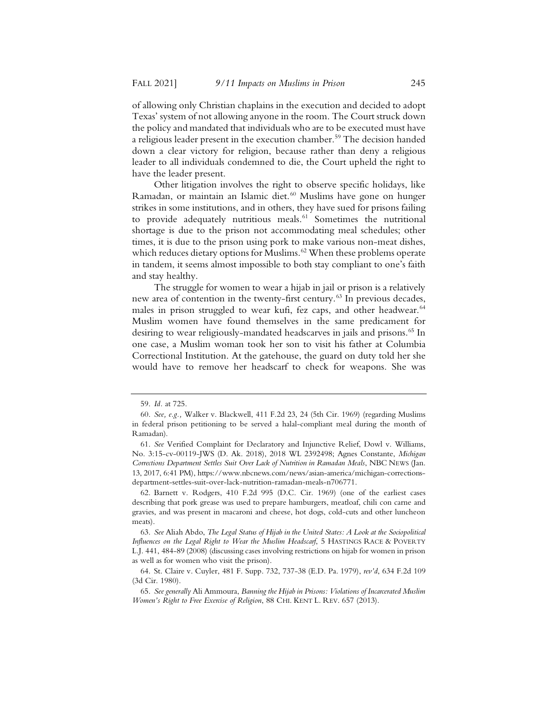of allowing only Christian chaplains in the execution and decided to adopt Texas' system of not allowing anyone in the room. The Court struck down the policy and mandated that individuals who are to be executed must have a religious leader present in the execution chamber.<sup>59</sup> The decision handed down a clear victory for religion, because rather than deny a religious leader to all individuals condemned to die, the Court upheld the right to have the leader present.

Other litigation involves the right to observe specific holidays, like Ramadan, or maintain an Islamic diet.<sup>60</sup> Muslims have gone on hunger strikes in some institutions, and in others, they have sued for prisons failing to provide adequately nutritious meals.<sup>61</sup> Sometimes the nutritional shortage is due to the prison not accommodating meal schedules; other times, it is due to the prison using pork to make various non-meat dishes, which reduces dietary options for Muslims.<sup>62</sup> When these problems operate in tandem, it seems almost impossible to both stay compliant to one's faith and stay healthy.

The struggle for women to wear a hijab in jail or prison is a relatively new area of contention in the twenty-first century.<sup>63</sup> In previous decades, males in prison struggled to wear kufi, fez caps, and other headwear.<sup>64</sup> Muslim women have found themselves in the same predicament for desiring to wear religiously-mandated headscarves in jails and prisons.<sup>65</sup> In one case, a Muslim woman took her son to visit his father at Columbia Correctional Institution. At the gatehouse, the guard on duty told her she would have to remove her headscarf to check for weapons. She was

<sup>59.</sup> *Id.* at 725.

<sup>60.</sup> *See, e.g.,* Walker v. Blackwell, 411 F.2d 23, 24 (5th Cir. 1969) (regarding Muslims in federal prison petitioning to be served a halal-compliant meal during the month of Ramadan).

<sup>61.</sup> *See* Verified Complaint for Declaratory and Injunctive Relief, Dowl v. Williams, No. 3:15-cv-00119-JWS (D. Ak. 2018), 2018 WL 2392498; Agnes Constante, *Michigan Corrections Department Settles Suit Over Lack of Nutrition in Ramadan Meals*, NBC NEWS (Jan. 13, 2017, 6:41 PM), https://www.nbcnews.com/news/asian-america/michigan-correctionsdepartment-settles-suit-over-lack-nutrition-ramadan-meals-n706771.

<sup>62.</sup> Barnett v. Rodgers, 410 F.2d 995 (D.C. Cir. 1969) (one of the earliest cases describing that pork grease was used to prepare hamburgers, meatloaf, chili con carne and gravies, and was present in macaroni and cheese, hot dogs, cold-cuts and other luncheon meats).

<sup>63.</sup> *See* Aliah Abdo, *The Legal Status of Hijab in the United States: A Look at the Sociopolitical Influences on the Legal Right to Wear the Muslim Headscarf*, 5 HASTINGS RACE & POVERTY L.J. 441, 484-89 (2008) (discussing cases involving restrictions on hijab for women in prison as well as for women who visit the prison).

<sup>64.</sup> St. Claire v. Cuyler, 481 F. Supp. 732, 737-38 (E.D. Pa. 1979), *rev'd*, 634 F.2d 109 (3d Cir. 1980).

<sup>65.</sup> *See generally* Ali Ammoura, *Banning the Hijab in Prisons: Violations of Incarcerated Muslim Women's Right to Free Exercise of Religion*, 88 CHI. KENT L. REV. 657 (2013).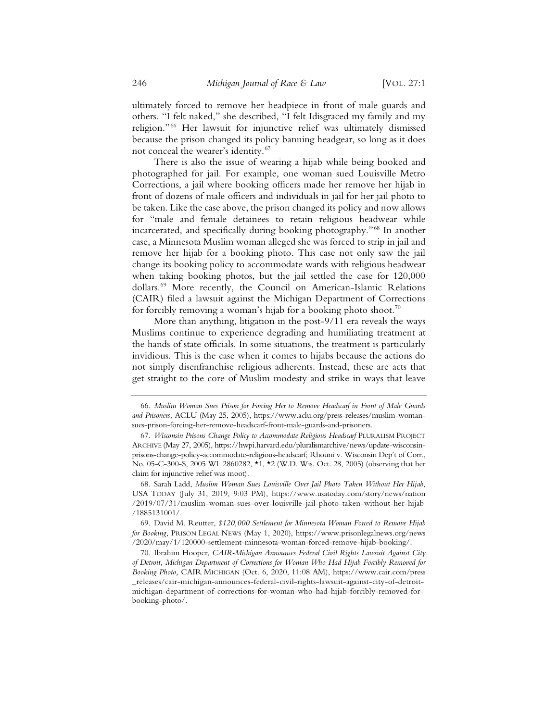ultimately forced to remove her headpiece in front of male guards and others. "I felt naked," she described, "I felt Idisgraced my family and my religion."66 Her lawsuit for injunctive relief was ultimately dismissed because the prison changed its policy banning headgear, so long as it does not conceal the wearer's identity.<sup>67</sup>

There is also the issue of wearing a hijab while being booked and photographed for jail. For example, one woman sued Louisville Metro Corrections, a jail where booking officers made her remove her hijab in front of dozens of male officers and individuals in jail for her jail photo to be taken. Like the case above, the prison changed its policy and now allows for "male and female detainees to retain religious headwear while incarcerated, and specifically during booking photography."<sup>68</sup> In another case, a Minnesota Muslim woman alleged she was forced to strip in jail and remove her hijab for a booking photo. This case not only saw the jail change its booking policy to accommodate wards with religious headwear when taking booking photos, but the jail settled the case for 120,000 dollars.69 More recently, the Council on American-Islamic Relations (CAIR) filed a lawsuit against the Michigan Department of Corrections for forcibly removing a woman's hijab for a booking photo shoot.<sup>70</sup>

More than anything, litigation in the post-9/11 era reveals the ways Muslims continue to experience degrading and humiliating treatment at the hands of state officials. In some situations, the treatment is particularly invidious. This is the case when it comes to hijabs because the actions do not simply disenfranchise religious adherents. Instead, these are acts that get straight to the core of Muslim modesty and strike in ways that leave

<sup>66.</sup> *Muslim Woman Sues Prison for Forcing Her to Remove Headscarf in Front of Male Guards and Prisoners,* ACLU (May 25, 2005), https://www.aclu.org/press-releases/muslim-womansues-prison-forcing-her-remove-headscarf-front-male-guards-and-prisoners.

<sup>67.</sup> *Wisconsin Prisons Change Policy to Accommodate Religious Headscarf* PLURALISM PROJECT ARCHIVE (May 27, 2005), https://hwpi.harvard.edu/pluralismarchive/news/update-wisconsinprisons-change-policy-accommodate-religious-headscarf; Rhouni v. Wisconsin Dep't of Corr., No. 05-C-300-S, 2005 WL 2860282, \*1, \*2 (W.D. Wis. Oct. 28, 2005) (observing that her claim for injunctive relief was moot).

<sup>68.</sup> Sarah Ladd, *Muslim Woman Sues Louisville Over Jail Photo Taken Without Her Hijab*, USA TODAY (July 31, 2019, 9:03 PM), https://www.usatoday.com/story/news/nation /2019/07/31/muslim-woman-sues-over-louisville-jail-photo-taken-without-her-hijab /1885131001/.

<sup>69.</sup> David M. Reutter, *\$120,000 Settlement for Minnesota Woman Forced to Remove Hijab for Booking*, PRISON LEGAL NEWS (May 1, 2020), https://www.prisonlegalnews.org/news /2020/may/1/120000-settlement-minnesota-woman-forced-remove-hijab-booking/.

<sup>70.</sup> Ibrahim Hooper, *CAIR-Michigan Announces Federal Civil Rights Lawsuit Against City of Detroit, Michigan Department of Corrections for Woman Who Had Hijab Forcibly Removed for Booking Photo,* CAIR MICHIGAN (Oct. 6, 2020, 11:08 AM), https://www.cair.com/press \_releases/cair-michigan-announces-federal-civil-rights-lawsuit-against-city-of-detroitmichigan-department-of-corrections-for-woman-who-had-hijab-forcibly-removed-forbooking-photo/.